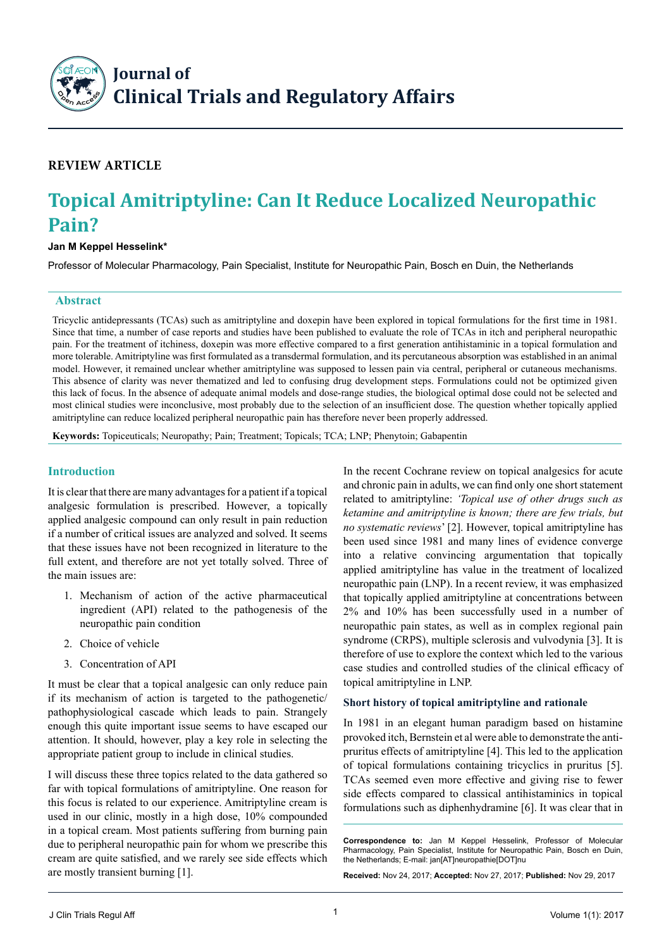S **Example 28 Journal of**<br> **Example 20 Journal of Clinical Trials and Regulatory Affairs** 

## **Review Article**

# **Topical Amitriptyline: Can It Reduce Localized Neuropathic Pain?**

## **Jan M Keppel Hesselink\***

Professor of Molecular Pharmacology, Pain Specialist, Institute for Neuropathic Pain, Bosch en Duin, the Netherlands

## **Abstract**

Tricyclic antidepressants (TCAs) such as amitriptyline and doxepin have been explored in topical formulations for the first time in 1981. Since that time, a number of case reports and studies have been published to evaluate the role of TCAs in itch and peripheral neuropathic pain. For the treatment of itchiness, doxepin was more effective compared to a first generation antihistaminic in a topical formulation and more tolerable. Amitriptyline was first formulated as a transdermal formulation, and its percutaneous absorption was established in an animal model. However, it remained unclear whether amitriptyline was supposed to lessen pain via central, peripheral or cutaneous mechanisms. This absence of clarity was never thematized and led to confusing drug development steps. Formulations could not be optimized given this lack of focus. In the absence of adequate animal models and dose-range studies, the biological optimal dose could not be selected and most clinical studies were inconclusive, most probably due to the selection of an insufficient dose. The question whether topically applied amitriptyline can reduce localized peripheral neuropathic pain has therefore never been properly addressed.

**Keywords:** Topiceuticals; Neuropathy; Pain; Treatment; Topicals; TCA; LNP; Phenytoin; Gabapentin

## **Introduction**

It is clear that there are many advantages for a patient if a topical analgesic formulation is prescribed. However, a topically applied analgesic compound can only result in pain reduction if a number of critical issues are analyzed and solved. It seems that these issues have not been recognized in literature to the full extent, and therefore are not yet totally solved. Three of the main issues are:

- 1. Mechanism of action of the active pharmaceutical ingredient (API) related to the pathogenesis of the neuropathic pain condition
- 2. Choice of vehicle
- 3. Concentration of API

It must be clear that a topical analgesic can only reduce pain if its mechanism of action is targeted to the pathogenetic/ pathophysiological cascade which leads to pain. Strangely enough this quite important issue seems to have escaped our attention. It should, however, play a key role in selecting the appropriate patient group to include in clinical studies.

I will discuss these three topics related to the data gathered so far with topical formulations of amitriptyline. One reason for this focus is related to our experience. Amitriptyline cream is used in our clinic, mostly in a high dose, 10% compounded in a topical cream. Most patients suffering from burning pain due to peripheral neuropathic pain for whom we prescribe this cream are quite satisfied, and we rarely see side effects which are mostly transient burning [1].

In the recent Cochrane review on topical analgesics for acute and chronic pain in adults, we can find only one short statement related to amitriptyline: *'Topical use of other drugs such as ketamine and amitriptyline is known; there are few trials, but no systematic reviews*' [2]. However, topical amitriptyline has been used since 1981 and many lines of evidence converge into a relative convincing argumentation that topically applied amitriptyline has value in the treatment of localized neuropathic pain (LNP). In a recent review, it was emphasized that topically applied amitriptyline at concentrations between 2% and 10% has been successfully used in a number of neuropathic pain states, as well as in complex regional pain syndrome (CRPS), multiple sclerosis and vulvodynia [3]. It is therefore of use to explore the context which led to the various case studies and controlled studies of the clinical efficacy of topical amitriptyline in LNP.

#### **Short history of topical amitriptyline and rationale**

In 1981 in an elegant human paradigm based on histamine provoked itch, Bernstein et al were able to demonstrate the antipruritus effects of amitriptyline [4]. This led to the application of topical formulations containing tricyclics in pruritus [5]. TCAs seemed even more effective and giving rise to fewer side effects compared to classical antihistaminics in topical formulations such as diphenhydramine [6]. It was clear that in

**Correspondence to:** Jan M Keppel Hesselink, Professor of Molecular Pharmacology, Pain Specialist, Institute for Neuropathic Pain, Bosch en Duin, the Netherlands; E-mail: jan[AT]neuropathie[DOT]nu

**Received:** Nov 24, 2017; **Accepted:** Nov 27, 2017; **Published:** Nov 29, 2017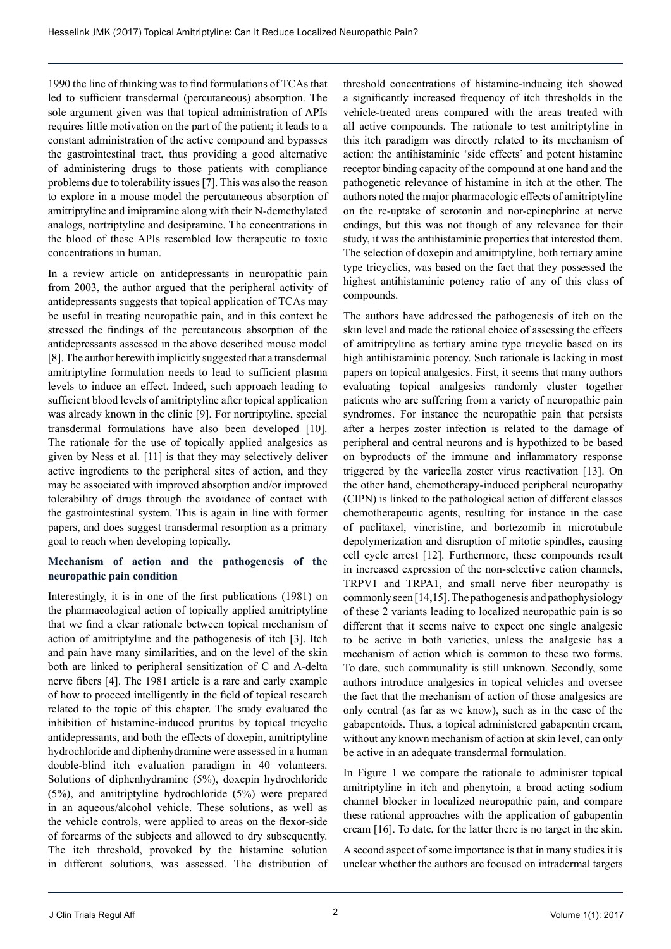1990 the line of thinking was to find formulations of TCAs that led to sufficient transdermal (percutaneous) absorption. The sole argument given was that topical administration of APIs requires little motivation on the part of the patient; it leads to a constant administration of the active compound and bypasses the gastrointestinal tract, thus providing a good alternative of administering drugs to those patients with compliance problems due to tolerability issues [7]. This was also the reason to explore in a mouse model the percutaneous absorption of amitriptyline and imipramine along with their N-demethylated analogs, nortriptyline and desipramine. The concentrations in the blood of these APIs resembled low therapeutic to toxic concentrations in human.

In a review article on antidepressants in neuropathic pain from 2003, the author argued that the peripheral activity of antidepressants suggests that topical application of TCAs may be useful in treating neuropathic pain, and in this context he stressed the findings of the percutaneous absorption of the antidepressants assessed in the above described mouse model [8]. The author herewith implicitly suggested that a transdermal amitriptyline formulation needs to lead to sufficient plasma levels to induce an effect. Indeed, such approach leading to sufficient blood levels of amitriptyline after topical application was already known in the clinic [9]. For nortriptyline, special transdermal formulations have also been developed [10]. The rationale for the use of topically applied analgesics as given by Ness et al. [11] is that they may selectively deliver active ingredients to the peripheral sites of action, and they may be associated with improved absorption and/or improved tolerability of drugs through the avoidance of contact with the gastrointestinal system. This is again in line with former papers, and does suggest transdermal resorption as a primary goal to reach when developing topically.

## **Mechanism of action and the pathogenesis of the neuropathic pain condition**

Interestingly, it is in one of the first publications (1981) on the pharmacological action of topically applied amitriptyline that we find a clear rationale between topical mechanism of action of amitriptyline and the pathogenesis of itch [3]. Itch and pain have many similarities, and on the level of the skin both are linked to peripheral sensitization of C and A-delta nerve fibers [4]. The 1981 article is a rare and early example of how to proceed intelligently in the field of topical research related to the topic of this chapter. The study evaluated the inhibition of histamine-induced pruritus by topical tricyclic antidepressants, and both the effects of doxepin, amitriptyline hydrochloride and diphenhydramine were assessed in a human double-blind itch evaluation paradigm in 40 volunteers. Solutions of diphenhydramine (5%), doxepin hydrochloride (5%), and amitriptyline hydrochloride (5%) were prepared in an aqueous/alcohol vehicle. These solutions, as well as the vehicle controls, were applied to areas on the flexor-side of forearms of the subjects and allowed to dry subsequently. The itch threshold, provoked by the histamine solution in different solutions, was assessed. The distribution of

threshold concentrations of histamine-inducing itch showed a significantly increased frequency of itch thresholds in the vehicle-treated areas compared with the areas treated with all active compounds. The rationale to test amitriptyline in this itch paradigm was directly related to its mechanism of action: the antihistaminic 'side effects' and potent histamine receptor binding capacity of the compound at one hand and the pathogenetic relevance of histamine in itch at the other. The authors noted the major pharmacologic effects of amitriptyline on the re-uptake of serotonin and nor-epinephrine at nerve endings, but this was not though of any relevance for their study, it was the antihistaminic properties that interested them. The selection of doxepin and amitriptyline, both tertiary amine type tricyclics, was based on the fact that they possessed the highest antihistaminic potency ratio of any of this class of compounds.

The authors have addressed the pathogenesis of itch on the skin level and made the rational choice of assessing the effects of amitriptyline as tertiary amine type tricyclic based on its high antihistaminic potency. Such rationale is lacking in most papers on topical analgesics. First, it seems that many authors evaluating topical analgesics randomly cluster together patients who are suffering from a variety of neuropathic pain syndromes. For instance the neuropathic pain that persists after a herpes zoster infection is related to the damage of peripheral and central neurons and is hypothized to be based on byproducts of the immune and inflammatory response triggered by the varicella zoster virus reactivation [13]. On the other hand, chemotherapy-induced peripheral neuropathy (CIPN) is linked to the pathological action of different classes chemotherapeutic agents, resulting for instance in the case of paclitaxel, vincristine, and bortezomib in microtubule depolymerization and disruption of mitotic spindles, causing cell cycle arrest [12]. Furthermore, these compounds result in increased expression of the non-selective cation channels, TRPV1 and TRPA1, and small nerve fiber neuropathy is commonly seen [14,15]. The pathogenesis and pathophysiology of these 2 variants leading to localized neuropathic pain is so different that it seems naive to expect one single analgesic to be active in both varieties, unless the analgesic has a mechanism of action which is common to these two forms. To date, such communality is still unknown. Secondly, some authors introduce analgesics in topical vehicles and oversee the fact that the mechanism of action of those analgesics are only central (as far as we know), such as in the case of the gabapentoids. Thus, a topical administered gabapentin cream, without any known mechanism of action at skin level, can only be active in an adequate transdermal formulation.

In Figure 1 we compare the rationale to administer topical amitriptyline in itch and phenytoin, a broad acting sodium channel blocker in localized neuropathic pain, and compare these rational approaches with the application of gabapentin cream [16]. To date, for the latter there is no target in the skin.

A second aspect of some importance is that in many studies it is unclear whether the authors are focused on intradermal targets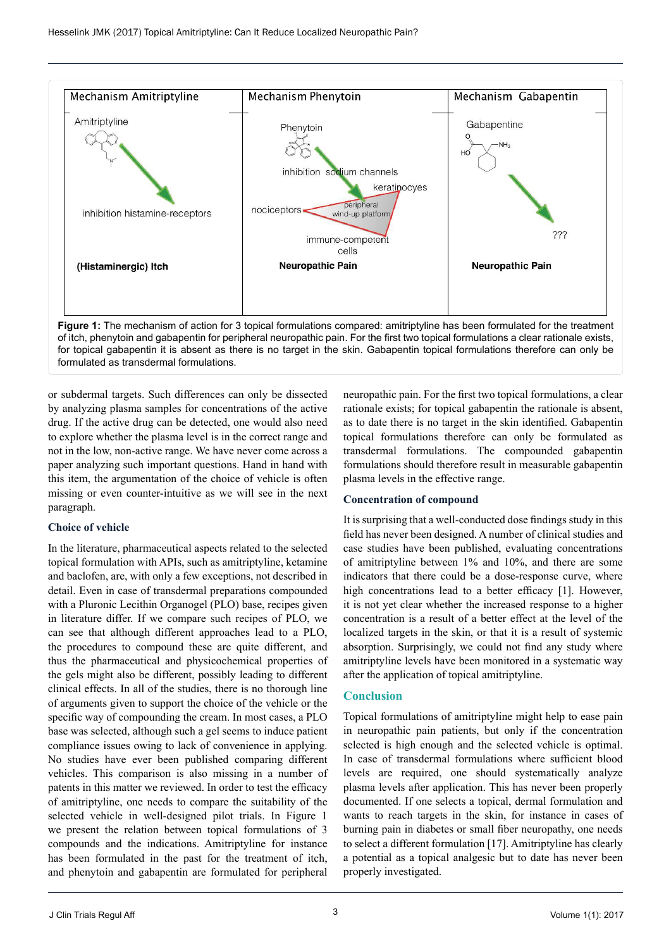

formulated as transdermal formulations.

or subdermal targets. Such differences can only be dissected by analyzing plasma samples for concentrations of the active drug. If the active drug can be detected, one would also need to explore whether the plasma level is in the correct range and not in the low, non-active range. We have never come across a paper analyzing such important questions. Hand in hand with this item, the argumentation of the choice of vehicle is often missing or even counter-intuitive as we will see in the next paragraph.

#### **Choice of vehicle**

In the literature, pharmaceutical aspects related to the selected topical formulation with APIs, such as amitriptyline, ketamine and baclofen, are, with only a few exceptions, not described in detail. Even in case of transdermal preparations compounded with a Pluronic Lecithin Organogel (PLO) base, recipes given in literature differ. If we compare such recipes of PLO, we can see that although different approaches lead to a PLO, the procedures to compound these are quite different, and thus the pharmaceutical and physicochemical properties of the gels might also be different, possibly leading to different clinical effects. In all of the studies, there is no thorough line of arguments given to support the choice of the vehicle or the specific way of compounding the cream. In most cases, a PLO base was selected, although such a gel seems to induce patient compliance issues owing to lack of convenience in applying. No studies have ever been published comparing different vehicles. This comparison is also missing in a number of patents in this matter we reviewed. In order to test the efficacy of amitriptyline, one needs to compare the suitability of the selected vehicle in well-designed pilot trials. In Figure 1 we present the relation between topical formulations of 3 compounds and the indications. Amitriptyline for instance has been formulated in the past for the treatment of itch, and phenytoin and gabapentin are formulated for peripheral

neuropathic pain. For the first two topical formulations, a clear rationale exists; for topical gabapentin the rationale is absent, as to date there is no target in the skin identified. Gabapentin topical formulations therefore can only be formulated as transdermal formulations. The compounded gabapentin formulations should therefore result in measurable gabapentin plasma levels in the effective range.

## **Concentration of compound**

It is surprising that a well-conducted dose findings study in this field has never been designed. A number of clinical studies and case studies have been published, evaluating concentrations of amitriptyline between 1% and 10%, and there are some indicators that there could be a dose-response curve, where high concentrations lead to a better efficacy [1]. However, it is not yet clear whether the increased response to a higher concentration is a result of a better effect at the level of the localized targets in the skin, or that it is a result of systemic absorption. Surprisingly, we could not find any study where amitriptyline levels have been monitored in a systematic way after the application of topical amitriptyline.

## **Conclusion**

Topical formulations of amitriptyline might help to ease pain in neuropathic pain patients, but only if the concentration selected is high enough and the selected vehicle is optimal. In case of transdermal formulations where sufficient blood levels are required, one should systematically analyze plasma levels after application. This has never been properly documented. If one selects a topical, dermal formulation and wants to reach targets in the skin, for instance in cases of burning pain in diabetes or small fiber neuropathy, one needs to select a different formulation [17]. Amitriptyline has clearly a potential as a topical analgesic but to date has never been properly investigated.